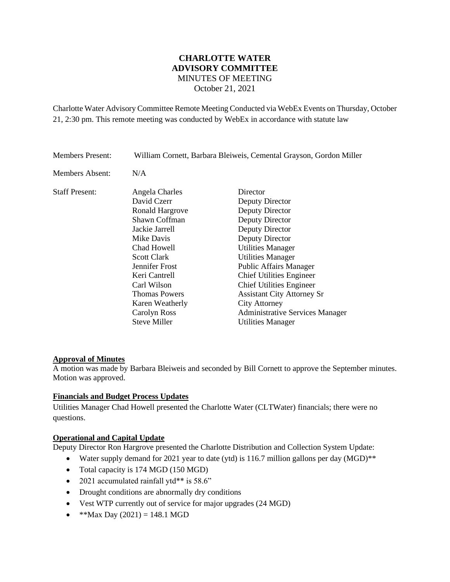# **CHARLOTTE WATER ADVISORY COMMITTEE** MINUTES OF MEETING October 21, 2021

Charlotte Water Advisory Committee Remote Meeting Conducted via WebEx Events on Thursday, October 21, 2:30 pm. This remote meeting was conducted by WebEx in accordance with statute law

| <b>Members Present:</b> | William Cornett, Barbara Bleiweis, Cemental Grayson, Gordon Miller |                                        |
|-------------------------|--------------------------------------------------------------------|----------------------------------------|
| Members Absent:         | N/A                                                                |                                        |
| <b>Staff Present:</b>   | Angela Charles                                                     | Director                               |
|                         | David Czerr                                                        | Deputy Director                        |
|                         | <b>Ronald Hargrove</b>                                             | Deputy Director                        |
|                         | Shawn Coffman                                                      | Deputy Director                        |
|                         | Jackie Jarrell                                                     | Deputy Director                        |
|                         | Mike Davis                                                         | Deputy Director                        |
|                         | Chad Howell                                                        | <b>Utilities Manager</b>               |
|                         | <b>Scott Clark</b>                                                 | <b>Utilities Manager</b>               |
|                         | Jennifer Frost                                                     | <b>Public Affairs Manager</b>          |
|                         | Keri Cantrell                                                      | <b>Chief Utilities Engineer</b>        |
|                         | Carl Wilson                                                        | <b>Chief Utilities Engineer</b>        |
|                         | <b>Thomas Powers</b>                                               | <b>Assistant City Attorney Sr</b>      |
|                         | Karen Weatherly                                                    | <b>City Attorney</b>                   |
|                         | Carolyn Ross                                                       | <b>Administrative Services Manager</b> |
|                         | <b>Steve Miller</b>                                                | <b>Utilities Manager</b>               |

### **Approval of Minutes**

A motion was made by Barbara Bleiweis and seconded by Bill Cornett to approve the September minutes. Motion was approved.

# **Financials and Budget Process Updates**

Utilities Manager Chad Howell presented the Charlotte Water (CLTWater) financials; there were no questions.

## **Operational and Capital Update**

Deputy Director Ron Hargrove presented the Charlotte Distribution and Collection System Update:

- Water supply demand for 2021 year to date (ytd) is 116.7 million gallons per day (MGD)<sup>\*\*</sup>
- Total capacity is 174 MGD (150 MGD)
- 2021 accumulated rainfall ytd\*\* is 58.6"
- Drought conditions are abnormally dry conditions
- Vest WTP currently out of service for major upgrades (24 MGD)
- \*\*Max Day  $(2021) = 148.1$  MGD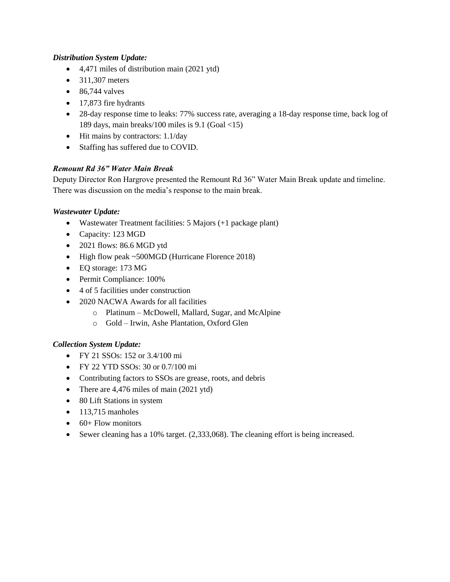# *Distribution System Update:*

- 4,471 miles of distribution main (2021 ytd)
- $\bullet$  311,307 meters
- $\bullet$  86,744 valves
- 17,873 fire hydrants
- 28-day response time to leaks: 77% success rate, averaging a 18-day response time, back log of 189 days, main breaks/100 miles is 9.1 (Goal <15)
- Hit mains by contractors: 1.1/day
- Staffing has suffered due to COVID.

# *Remount Rd 36" Water Main Break*

Deputy Director Ron Hargrove presented the Remount Rd 36" Water Main Break update and timeline. There was discussion on the media's response to the main break.

## *Wastewater Update:*

- Wastewater Treatment facilities: 5 Majors (+1 package plant)
- Capacity: 123 MGD
- 2021 flows: 86.6 MGD ytd
- High flow peak ~500MGD (Hurricane Florence 2018)
- EQ storage: 173 MG
- Permit Compliance: 100%
- 4 of 5 facilities under construction
- 2020 NACWA Awards for all facilities
	- o Platinum McDowell, Mallard, Sugar, and McAlpine
	- o Gold Irwin, Ashe Plantation, Oxford Glen

### *Collection System Update:*

- FY 21 SSOs: 152 or 3.4/100 mi
- FY 22 YTD SSOs: 30 or 0.7/100 mi
- Contributing factors to SSOs are grease, roots, and debris
- There are 4,476 miles of main (2021 ytd)
- 80 Lift Stations in system
- $\bullet$  113,715 manholes
- $\bullet$  60+ Flow monitors
- Sewer cleaning has a 10% target. (2,333,068). The cleaning effort is being increased.